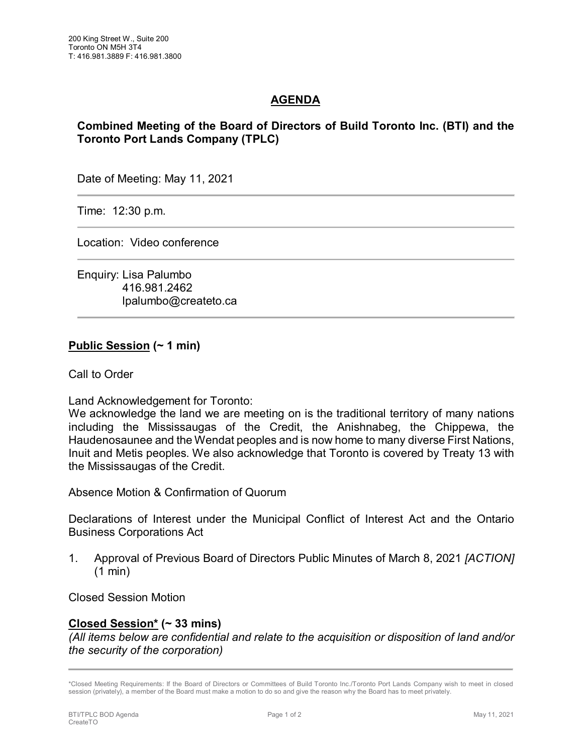# **AGENDA**

## **Combined Meeting of the Board of Directors of Build Toronto Inc. (BTI) and the Toronto Port Lands Company (TPLC)**

Date of Meeting: May 11, 2021

Time: 12:30 p.m.

Location: Video conference

Enquiry: Lisa Palumbo 416.981.2462 lpalumbo@createto.ca

### **Public Session (~ 1 min)**

Call to Order

Land Acknowledgement for Toronto:

We acknowledge the land we are meeting on is the traditional territory of many nations including the Mississaugas of the Credit, the Anishnabeg, the Chippewa, the Haudenosaunee and the Wendat peoples and is now home to many diverse First Nations, Inuit and Metis peoples. We also acknowledge that Toronto is covered by Treaty 13 with the Mississaugas of the Credit.

Absence Motion & Confirmation of Quorum

Declarations of Interest under the Municipal Conflict of Interest Act and the Ontario Business Corporations Act

1. Approval of Previous Board of Directors Public Minutes of March 8, 2021 *[ACTION]*  (1 min)

Closed Session Motion

#### **Closed Session\* (~ 33 mins)**

*(All items below are confidential and relate to the acquisition or disposition of land and/or the security of the corporation)*

<sup>\*</sup>Closed Meeting Requirements: If the Board of Directors or Committees of Build Toronto Inc./Toronto Port Lands Company wish to meet in closed session (privately), a member of the Board must make a motion to do so and give the reason why the Board has to meet privately.